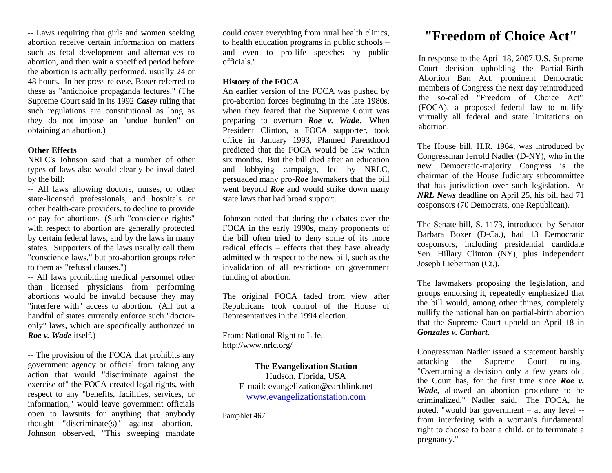-- Laws requiring that girls and women seeking abortion receive certain information on matters such as fetal development and alternatives to abortion, and then wait a specified period before the abortion is actually performed, usually 24 or 48 hours. In her press release, Boxer referred to these as "antichoice propaganda lectures." (The Supreme Court said in its 1992 *Casey* ruling that such regulations are constitutional as long as they do not impose an "undue burden" on obtaining an abortion.)

## **Other Effects**

NRLC's Johnson said that a number of other types of laws also would clearly be invalidated by the bill:

-- All laws allowing doctors, nurses, or other state-licensed professionals, and hospitals or other health-care providers, to decline to provide or pay for abortions. (Such "conscience rights" with respect to abortion are generally protected by certain federal laws, and by the laws in many states. Supporters of the laws usually call them "conscience laws," but pro-abortion groups refer to them as "refusal clauses.")

-- All laws prohibiting medical personnel other than licensed physicians from performing abortions would be invalid because they may "interfere with" access to abortion. (All but a handful of states currently enforce such "doctoronly" laws, which are specifically authorized in *Roe v. Wade* itself.)

-- The provision of the FOCA that prohibits any government agency or official from taking any action that would "discriminate against the exercise of" the FOCA-created legal rights, with respect to any "benefits, facilities, services, or information," would leave government officials open to lawsuits for anything that anybody thought "discriminate(s)" against abortion. Johnson observed, "This sweeping mandate

could cover everything from rural health clinics, to health education programs in public schools – and even to pro-life speeches by public officials."

#### **History of the FOCA**

An earlier version of the FOCA was pushed by pro-abortion forces beginning in the late 1980s, when they feared that the Supreme Court was preparing to overturn *Roe v. Wade*. When President Clinton, a FOCA supporter, took office in January 1993, Planned Parenthood predicted that the FOCA would be law within six months. But the bill died after an education and lobbying campaign, led by NRLC, persuaded many pro-*Roe* lawmakers that the bill went beyond *Roe* and would strike down many state laws that had broad support.

Johnson noted that during the debates over the FOCA in the early 1990s, many proponents of the bill often tried to deny some of its more radical effects – effects that they have already admitted with respect to the new bill, such as the invalidation of all restrictions on government funding of abortion.

The original FOCA faded from view after Republicans took control of the House of Representatives in the 1994 election.

From: National Right to Life, http://www.nrlc.org/

> **The Evangelization Station** Hudson, Florida, USA E-mail: evangelization@earthlink.net [www.evangelizationstation.com](http://www.pjpiisoe.org/)

Pamphlet 467

# **"Freedom of Choice Act"**

In response to the April 18, 2007 U.S. Supreme Court decision upholding the Partial-Birth Abortion Ban Act, prominent Democratic members of Congress the next day reintroduced the so-called "Freedom of Choice Act" (FOCA), a proposed federal law to nullify virtually all federal and state limitations on abortion.

The House bill, H.R. 1964, was introduced by Congressman Jerrold Nadler (D-NY), who in the new Democratic-majority Congress is the chairman of the House Judiciary subcommittee that has jurisdiction over such legislation. At *NRL News* deadline on April 25, his bill had 71 cosponsors (70 Democrats, one Republican).

The Senate bill, S. 1173, introduced by Senator Barbara Boxer (D-Ca.), had 13 Democratic cosponsors, including presidential candidate Sen. Hillary Clinton (NY), plus independent Joseph Lieberman (Ct.).

The lawmakers proposing the legislation, and groups endorsing it, repeatedly emphasized that the bill would, among other things, completely nullify the national ban on partial-birth abortion that the Supreme Court upheld on April 18 in *Gonzales v. Carhart*.

Congressman Nadler issued a statement harshly attacking the Supreme Court ruling. "Overturning a decision only a few years old, the Court has, for the first time since *Roe v. Wade*, allowed an abortion procedure to be criminalized," Nadler said. The FOCA, he noted, "would bar government – at any level - from interfering with a woman's fundamental right to choose to bear a child, or to terminate a pregnancy."